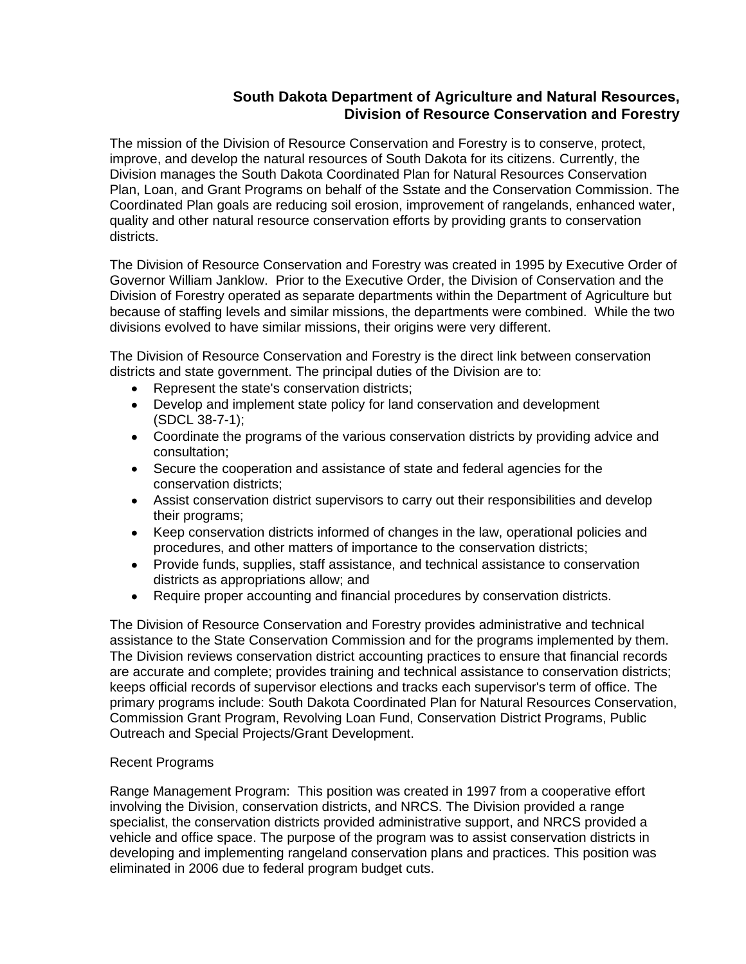## **South Dakota Department of Agriculture and Natural Resources, Division of Resource Conservation and Forestry**

The mission of the Division of Resource Conservation and Forestry is to conserve, protect, improve, and develop the natural resources of South Dakota for its citizens. Currently, the Division manages the South Dakota Coordinated Plan for Natural Resources Conservation Plan, Loan, and Grant Programs on behalf of the Sstate and the Conservation Commission. The Coordinated Plan goals are reducing soil erosion, improvement of rangelands, enhanced water, quality and other natural resource conservation efforts by providing grants to conservation districts.

The Division of Resource Conservation and Forestry was created in 1995 by Executive Order of Governor William Janklow. Prior to the Executive Order, the Division of Conservation and the Division of Forestry operated as separate departments within the Department of Agriculture but because of staffing levels and similar missions, the departments were combined. While the two divisions evolved to have similar missions, their origins were very different.

The Division of Resource Conservation and Forestry is the direct link between conservation districts and state government. The principal duties of the Division are to:

- Represent the state's conservation districts;
- Develop and implement state policy for land conservation and development (SDCL 38-7-1);
- Coordinate the programs of the various conservation districts by providing advice and consultation;
- Secure the cooperation and assistance of state and federal agencies for the conservation districts;
- Assist conservation district supervisors to carry out their responsibilities and develop their programs;
- Keep conservation districts informed of changes in the law, operational policies and procedures, and other matters of importance to the conservation districts;
- Provide funds, supplies, staff assistance, and technical assistance to conservation districts as appropriations allow; and
- Require proper accounting and financial procedures by conservation districts.

The Division of Resource Conservation and Forestry provides administrative and technical assistance to the State Conservation Commission and for the programs implemented by them. The Division reviews conservation district accounting practices to ensure that financial records are accurate and complete; provides training and technical assistance to conservation districts; keeps official records of supervisor elections and tracks each supervisor's term of office. The primary programs include: South Dakota Coordinated Plan for Natural Resources Conservation, Commission Grant Program, Revolving Loan Fund, Conservation District Programs, Public Outreach and Special Projects/Grant Development.

## Recent Programs

Range Management Program: This position was created in 1997 from a cooperative effort involving the Division, conservation districts, and NRCS. The Division provided a range specialist, the conservation districts provided administrative support, and NRCS provided a vehicle and office space. The purpose of the program was to assist conservation districts in developing and implementing rangeland conservation plans and practices. This position was eliminated in 2006 due to federal program budget cuts.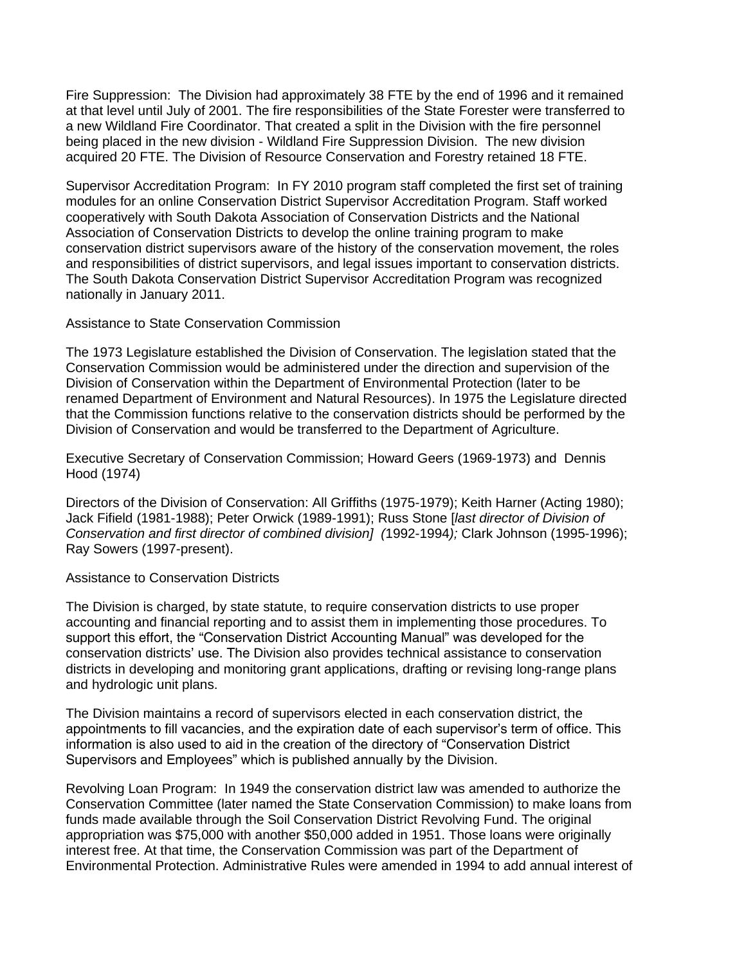Fire Suppression: The Division had approximately 38 FTE by the end of 1996 and it remained at that level until July of 2001. The fire responsibilities of the State Forester were transferred to a new Wildland Fire Coordinator. That created a split in the Division with the fire personnel being placed in the new division - Wildland Fire Suppression Division. The new division acquired 20 FTE. The Division of Resource Conservation and Forestry retained 18 FTE.

Supervisor Accreditation Program: In FY 2010 program staff completed the first set of training modules for an online Conservation District Supervisor Accreditation Program. Staff worked cooperatively with South Dakota Association of Conservation Districts and the National Association of Conservation Districts to develop the online training program to make conservation district supervisors aware of the history of the conservation movement, the roles and responsibilities of district supervisors, and legal issues important to conservation districts. The South Dakota Conservation District Supervisor Accreditation Program was recognized nationally in January 2011.

Assistance to State Conservation Commission

The 1973 Legislature established the Division of Conservation. The legislation stated that the Conservation Commission would be administered under the direction and supervision of the Division of Conservation within the Department of Environmental Protection (later to be renamed Department of Environment and Natural Resources). In 1975 the Legislature directed that the Commission functions relative to the conservation districts should be performed by the Division of Conservation and would be transferred to the Department of Agriculture.

Executive Secretary of Conservation Commission; Howard Geers (1969-1973) and Dennis Hood (1974)

Directors of the Division of Conservation: All Griffiths (1975-1979); Keith Harner (Acting 1980); Jack Fifield (1981-1988); Peter Orwick (1989-1991); Russ Stone [*last director of Division of Conservation and first director of combined division] (*1992-1994*);* Clark Johnson (1995-1996); Ray Sowers (1997-present).

Assistance to Conservation Districts

The Division is charged, by state statute, to require conservation districts to use proper accounting and financial reporting and to assist them in implementing those procedures. To support this effort, the "Conservation District Accounting Manual" was developed for the conservation districts' use. The Division also provides technical assistance to conservation districts in developing and monitoring grant applications, drafting or revising long-range plans and hydrologic unit plans.

The Division maintains a record of supervisors elected in each conservation district, the appointments to fill vacancies, and the expiration date of each supervisor's term of office. This information is also used to aid in the creation of the directory of "Conservation District Supervisors and Employees" which is published annually by the Division.

Revolving Loan Program: In 1949 the conservation district law was amended to authorize the Conservation Committee (later named the State Conservation Commission) to make loans from funds made available through the Soil Conservation District Revolving Fund. The original appropriation was \$75,000 with another \$50,000 added in 1951. Those loans were originally interest free. At that time, the Conservation Commission was part of the Department of Environmental Protection. Administrative Rules were amended in 1994 to add annual interest of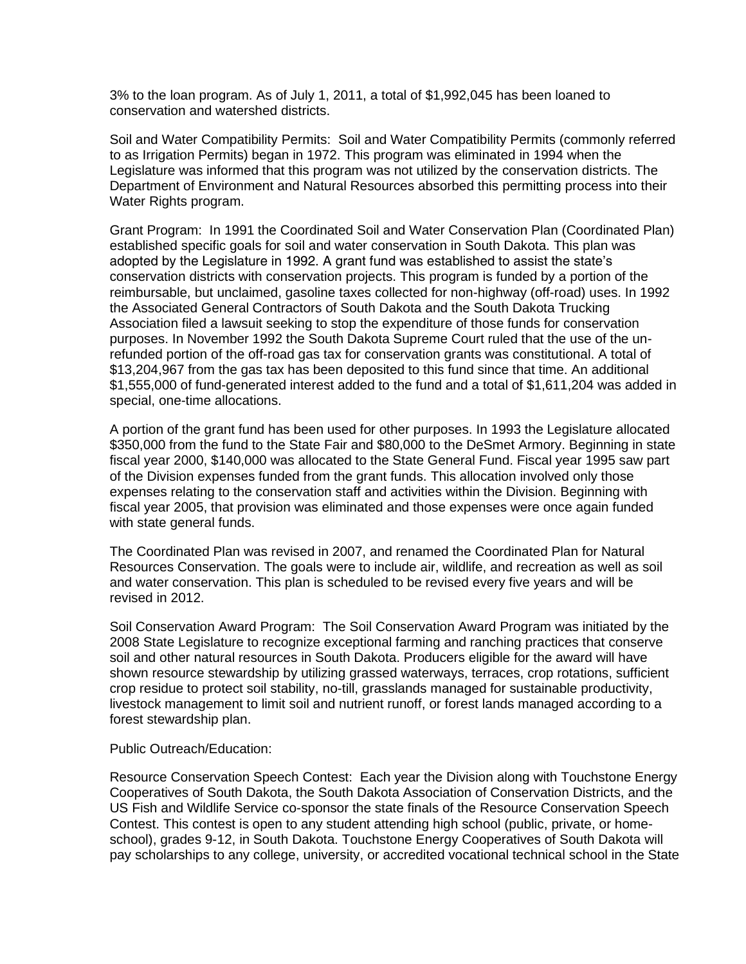3% to the loan program. As of July 1, 2011, a total of \$1,992,045 has been loaned to conservation and watershed districts.

Soil and Water Compatibility Permits: Soil and Water Compatibility Permits (commonly referred to as Irrigation Permits) began in 1972. This program was eliminated in 1994 when the Legislature was informed that this program was not utilized by the conservation districts. The Department of Environment and Natural Resources absorbed this permitting process into their Water Rights program.

Grant Program: In 1991 the Coordinated Soil and Water Conservation Plan (Coordinated Plan) established specific goals for soil and water conservation in South Dakota. This plan was adopted by the Legislature in 1992. A grant fund was established to assist the state's conservation districts with conservation projects. This program is funded by a portion of the reimbursable, but unclaimed, gasoline taxes collected for non-highway (off-road) uses. In 1992 the Associated General Contractors of South Dakota and the South Dakota Trucking Association filed a lawsuit seeking to stop the expenditure of those funds for conservation purposes. In November 1992 the South Dakota Supreme Court ruled that the use of the unrefunded portion of the off-road gas tax for conservation grants was constitutional. A total of \$13,204,967 from the gas tax has been deposited to this fund since that time. An additional \$1,555,000 of fund-generated interest added to the fund and a total of \$1,611,204 was added in special, one-time allocations.

A portion of the grant fund has been used for other purposes. In 1993 the Legislature allocated \$350,000 from the fund to the State Fair and \$80,000 to the DeSmet Armory. Beginning in state fiscal year 2000, \$140,000 was allocated to the State General Fund. Fiscal year 1995 saw part of the Division expenses funded from the grant funds. This allocation involved only those expenses relating to the conservation staff and activities within the Division. Beginning with fiscal year 2005, that provision was eliminated and those expenses were once again funded with state general funds.

The Coordinated Plan was revised in 2007, and renamed the Coordinated Plan for Natural Resources Conservation. The goals were to include air, wildlife, and recreation as well as soil and water conservation. This plan is scheduled to be revised every five years and will be revised in 2012.

Soil Conservation Award Program: The Soil Conservation Award Program was initiated by the 2008 State Legislature to recognize exceptional farming and ranching practices that conserve soil and other natural resources in South Dakota. Producers eligible for the award will have shown resource stewardship by utilizing grassed waterways, terraces, crop rotations, sufficient crop residue to protect soil stability, no-till, grasslands managed for sustainable productivity, livestock management to limit soil and nutrient runoff, or forest lands managed according to a forest stewardship plan.

Public Outreach/Education:

Resource Conservation Speech Contest: Each year the Division along with Touchstone Energy Cooperatives of South Dakota, the South Dakota Association of Conservation Districts, and the US Fish and Wildlife Service co-sponsor the state finals of the Resource Conservation Speech Contest. This contest is open to any student attending high school (public, private, or homeschool), grades 9-12, in South Dakota. Touchstone Energy Cooperatives of South Dakota will pay scholarships to any college, university, or accredited vocational technical school in the State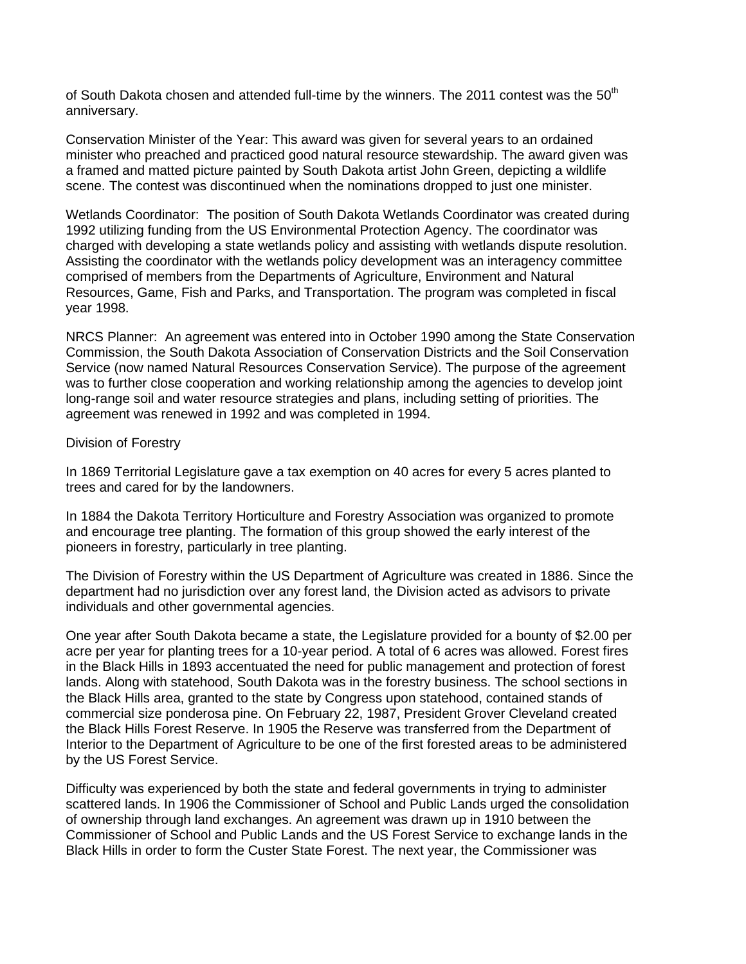of South Dakota chosen and attended full-time by the winners. The 2011 contest was the 50<sup>th</sup> anniversary.

Conservation Minister of the Year: This award was given for several years to an ordained minister who preached and practiced good natural resource stewardship. The award given was a framed and matted picture painted by South Dakota artist John Green, depicting a wildlife scene. The contest was discontinued when the nominations dropped to just one minister.

Wetlands Coordinator: The position of South Dakota Wetlands Coordinator was created during 1992 utilizing funding from the US Environmental Protection Agency. The coordinator was charged with developing a state wetlands policy and assisting with wetlands dispute resolution. Assisting the coordinator with the wetlands policy development was an interagency committee comprised of members from the Departments of Agriculture, Environment and Natural Resources, Game, Fish and Parks, and Transportation. The program was completed in fiscal year 1998.

NRCS Planner: An agreement was entered into in October 1990 among the State Conservation Commission, the South Dakota Association of Conservation Districts and the Soil Conservation Service (now named Natural Resources Conservation Service). The purpose of the agreement was to further close cooperation and working relationship among the agencies to develop joint long-range soil and water resource strategies and plans, including setting of priorities. The agreement was renewed in 1992 and was completed in 1994.

## Division of Forestry

In 1869 Territorial Legislature gave a tax exemption on 40 acres for every 5 acres planted to trees and cared for by the landowners.

In 1884 the Dakota Territory Horticulture and Forestry Association was organized to promote and encourage tree planting. The formation of this group showed the early interest of the pioneers in forestry, particularly in tree planting.

The Division of Forestry within the US Department of Agriculture was created in 1886. Since the department had no jurisdiction over any forest land, the Division acted as advisors to private individuals and other governmental agencies.

One year after South Dakota became a state, the Legislature provided for a bounty of \$2.00 per acre per year for planting trees for a 10-year period. A total of 6 acres was allowed. Forest fires in the Black Hills in 1893 accentuated the need for public management and protection of forest lands. Along with statehood, South Dakota was in the forestry business. The school sections in the Black Hills area, granted to the state by Congress upon statehood, contained stands of commercial size ponderosa pine. On February 22, 1987, President Grover Cleveland created the Black Hills Forest Reserve. In 1905 the Reserve was transferred from the Department of Interior to the Department of Agriculture to be one of the first forested areas to be administered by the US Forest Service.

Difficulty was experienced by both the state and federal governments in trying to administer scattered lands. In 1906 the Commissioner of School and Public Lands urged the consolidation of ownership through land exchanges. An agreement was drawn up in 1910 between the Commissioner of School and Public Lands and the US Forest Service to exchange lands in the Black Hills in order to form the Custer State Forest. The next year, the Commissioner was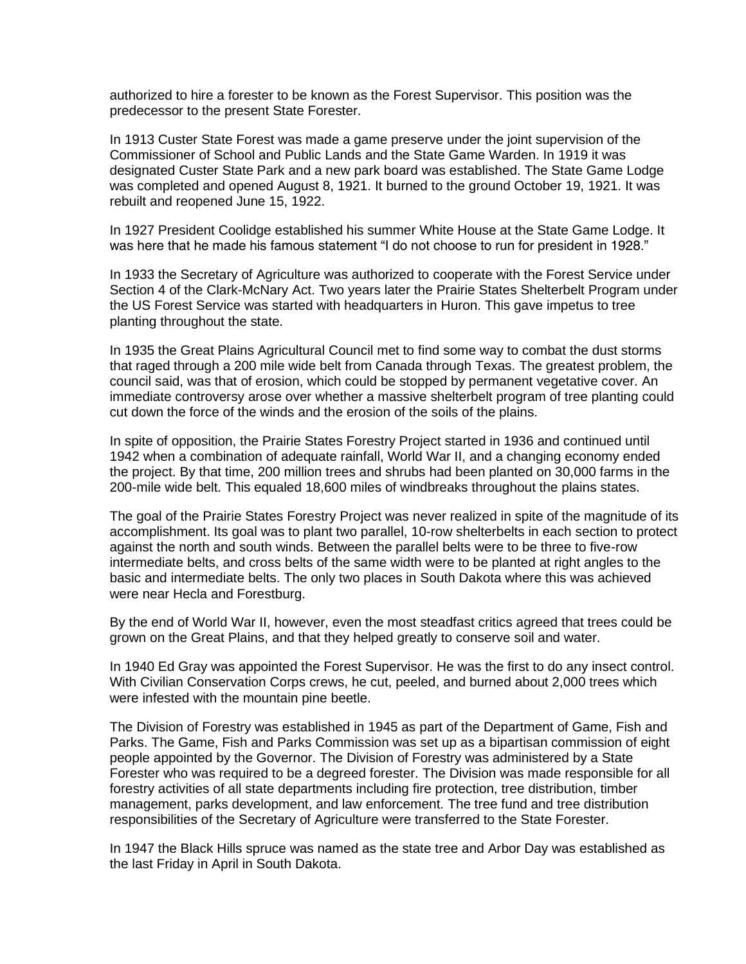authorized to hire a forester to be known as the Forest Supervisor. This position was the predecessor to the present State Forester.

In 1913 Custer State Forest was made a game preserve under the joint supervision of the Commissioner of School and Public Lands and the State Game Warden. In 1919 it was designated Custer State Park and a new park board was established. The State Game Lodge was completed and opened August 8, 1921. It burned to the ground October 19, 1921. It was rebuilt and reopened June 15, 1922.

In 1927 President Coolidge established his summer White House at the State Game Lodge. It was here that he made his famous statement "I do not choose to run for president in 1928."

In 1933 the Secretary of Agriculture was authorized to cooperate with the Forest Service under Section 4 of the Clark-McNary Act. Two years later the Prairie States Shelterbelt Program under the US Forest Service was started with headquarters in Huron. This gave impetus to tree planting throughout the state.

In 1935 the Great Plains Agricultural Council met to find some way to combat the dust storms that raged through a 200 mile wide belt from Canada through Texas. The greatest problem, the council said, was that of erosion, which could be stopped by permanent vegetative cover. An immediate controversy arose over whether a massive shelterbelt program of tree planting could cut down the force of the winds and the erosion of the soils of the plains.

In spite of opposition, the Prairie States Forestry Project started in 1936 and continued until 1942 when a combination of adequate rainfall, World War II, and a changing economy ended the project. By that time, 200 million trees and shrubs had been planted on 30,000 farms in the 200-mile wide belt. This equaled 18,600 miles of windbreaks throughout the plains states.

The goal of the Prairie States Forestry Project was never realized in spite of the magnitude of its accomplishment. Its goal was to plant two parallel, 10-row shelterbelts in each section to protect against the north and south winds. Between the parallel belts were to be three to five-row intermediate belts, and cross belts of the same width were to be planted at right angles to the basic and intermediate belts. The only two places in South Dakota where this was achieved were near Hecla and Forestburg.

By the end of World War II, however, even the most steadfast critics agreed that trees could be grown on the Great Plains, and that they helped greatly to conserve soil and water.

In 1940 Ed Gray was appointed the Forest Supervisor. He was the first to do any insect control. With Civilian Conservation Corps crews, he cut, peeled, and burned about 2,000 trees which were infested with the mountain pine beetle.

The Division of Forestry was established in 1945 as part of the Department of Game, Fish and Parks. The Game, Fish and Parks Commission was set up as a bipartisan commission of eight people appointed by the Governor. The Division of Forestry was administered by a State Forester who was required to be a degreed forester. The Division was made responsible for all forestry activities of all state departments including fire protection, tree distribution, timber management, parks development, and law enforcement. The tree fund and tree distribution responsibilities of the Secretary of Agriculture were transferred to the State Forester.

In 1947 the Black Hills spruce was named as the state tree and Arbor Day was established as the last Friday in April in South Dakota.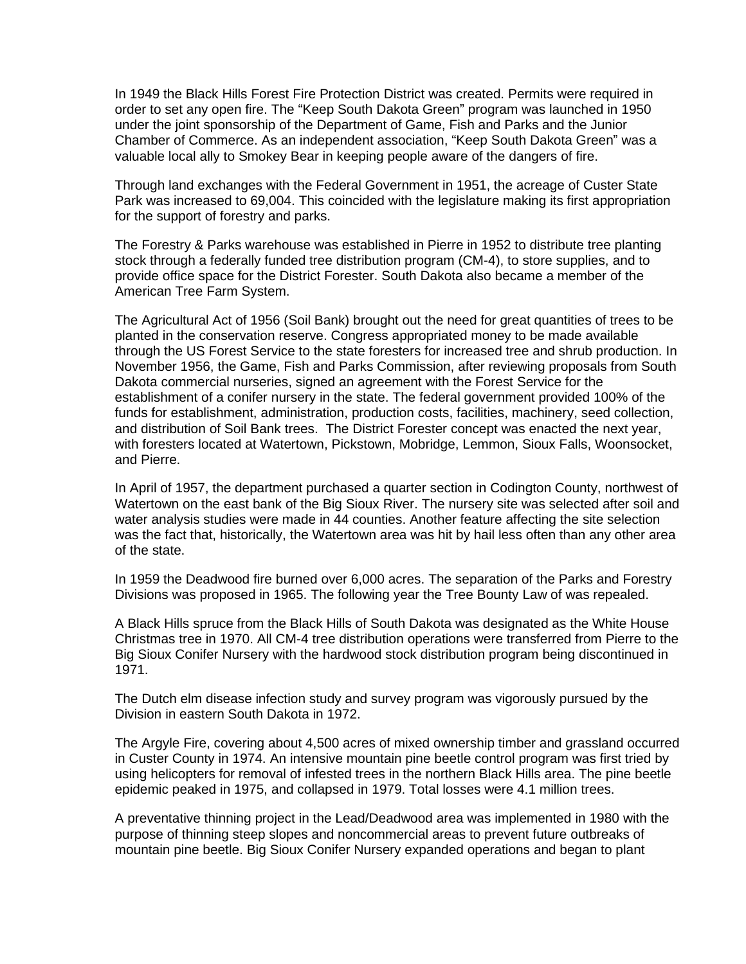In 1949 the Black Hills Forest Fire Protection District was created. Permits were required in order to set any open fire. The "Keep South Dakota Green" program was launched in 1950 under the joint sponsorship of the Department of Game, Fish and Parks and the Junior Chamber of Commerce. As an independent association, "Keep South Dakota Green" was a valuable local ally to Smokey Bear in keeping people aware of the dangers of fire.

Through land exchanges with the Federal Government in 1951, the acreage of Custer State Park was increased to 69,004. This coincided with the legislature making its first appropriation for the support of forestry and parks.

The Forestry & Parks warehouse was established in Pierre in 1952 to distribute tree planting stock through a federally funded tree distribution program (CM-4), to store supplies, and to provide office space for the District Forester. South Dakota also became a member of the American Tree Farm System.

The Agricultural Act of 1956 (Soil Bank) brought out the need for great quantities of trees to be planted in the conservation reserve. Congress appropriated money to be made available through the US Forest Service to the state foresters for increased tree and shrub production. In November 1956, the Game, Fish and Parks Commission, after reviewing proposals from South Dakota commercial nurseries, signed an agreement with the Forest Service for the establishment of a conifer nursery in the state. The federal government provided 100% of the funds for establishment, administration, production costs, facilities, machinery, seed collection, and distribution of Soil Bank trees. The District Forester concept was enacted the next year, with foresters located at Watertown, Pickstown, Mobridge, Lemmon, Sioux Falls, Woonsocket, and Pierre.

In April of 1957, the department purchased a quarter section in Codington County, northwest of Watertown on the east bank of the Big Sioux River. The nursery site was selected after soil and water analysis studies were made in 44 counties. Another feature affecting the site selection was the fact that, historically, the Watertown area was hit by hail less often than any other area of the state.

In 1959 the Deadwood fire burned over 6,000 acres. The separation of the Parks and Forestry Divisions was proposed in 1965. The following year the Tree Bounty Law of was repealed.

A Black Hills spruce from the Black Hills of South Dakota was designated as the White House Christmas tree in 1970. All CM-4 tree distribution operations were transferred from Pierre to the Big Sioux Conifer Nursery with the hardwood stock distribution program being discontinued in 1971.

The Dutch elm disease infection study and survey program was vigorously pursued by the Division in eastern South Dakota in 1972.

The Argyle Fire, covering about 4,500 acres of mixed ownership timber and grassland occurred in Custer County in 1974. An intensive mountain pine beetle control program was first tried by using helicopters for removal of infested trees in the northern Black Hills area. The pine beetle epidemic peaked in 1975, and collapsed in 1979. Total losses were 4.1 million trees.

A preventative thinning project in the Lead/Deadwood area was implemented in 1980 with the purpose of thinning steep slopes and noncommercial areas to prevent future outbreaks of mountain pine beetle. Big Sioux Conifer Nursery expanded operations and began to plant